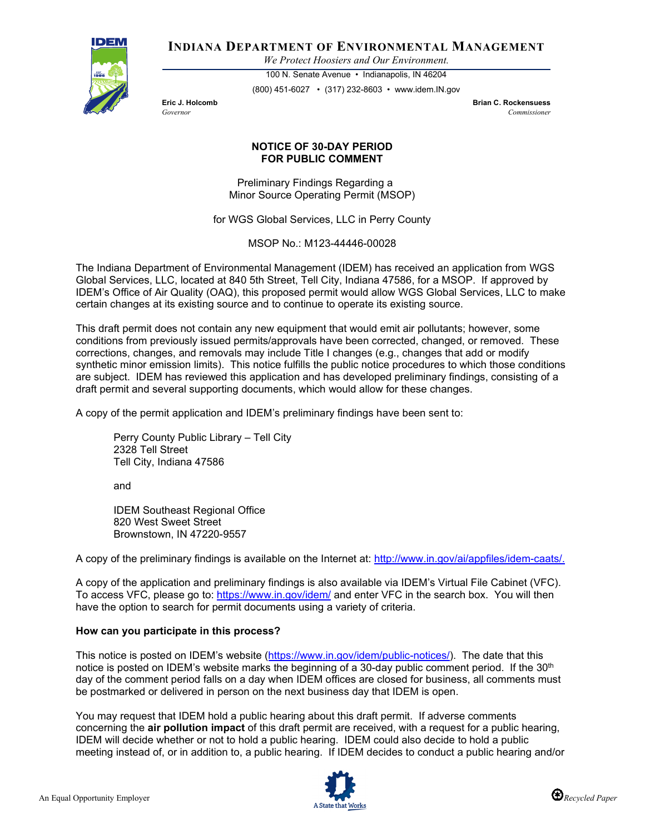

**INDIANA DEPARTMENT OF ENVIRONMENTAL MANAGEMENT**

*We Protect Hoosiers and Our Environment.*

100 N. Senate Avenue • Indianapolis, IN 46204 (800) 451-6027 • (317) 232-8603 • www.idem.IN.gov

**Eric J. Holcomb Brian C. Rockensuess** *Governor Commissioner* 

## **NOTICE OF 30-DAY PERIOD FOR PUBLIC COMMENT**

Preliminary Findings Regarding a Minor Source Operating Permit (MSOP)

for WGS Global Services, LLC in Perry County

MSOP No.: M123-44446-00028

The Indiana Department of Environmental Management (IDEM) has received an application from WGS Global Services, LLC, located at 840 5th Street, Tell City, Indiana 47586, for a MSOP. If approved by IDEM's Office of Air Quality (OAQ), this proposed permit would allow WGS Global Services, LLC to make certain changes at its existing source and to continue to operate its existing source.

This draft permit does not contain any new equipment that would emit air pollutants; however, some conditions from previously issued permits/approvals have been corrected, changed, or removed. These corrections, changes, and removals may include Title I changes (e.g., changes that add or modify synthetic minor emission limits). This notice fulfills the public notice procedures to which those conditions are subject. IDEM has reviewed this application and has developed preliminary findings, consisting of a draft permit and several supporting documents, which would allow for these changes.

A copy of the permit application and IDEM's preliminary findings have been sent to:

Perry County Public Library – Tell City 2328 Tell Street Tell City, Indiana 47586

and

IDEM Southeast Regional Office 820 West Sweet Street Brownstown, IN 47220-9557

A copy of the preliminary findings is available on the Internet at: [http://www.in.gov/ai/appfiles/idem-caats/.](http://www.in.gov/ai/appfiles/idem-caats/)

A copy of the application and preliminary findings is also available via IDEM's Virtual File Cabinet (VFC). To access VFC, please go to:<https://www.in.gov/idem/> and enter VFC in the search box. You will then have the option to search for permit documents using a variety of criteria.

## **How can you participate in this process?**

This notice is posted on IDEM's website [\(https://www.in.gov/idem/public-notices/\)](https://www.in.gov/idem/public-notices/). The date that this notice is posted on IDEM's website marks the beginning of a 30-day public comment period. If the 30<sup>th</sup> day of the comment period falls on a day when IDEM offices are closed for business, all comments must be postmarked or delivered in person on the next business day that IDEM is open.

You may request that IDEM hold a public hearing about this draft permit. If adverse comments concerning the **air pollution impact** of this draft permit are received, with a request for a public hearing, IDEM will decide whether or not to hold a public hearing. IDEM could also decide to hold a public meeting instead of, or in addition to, a public hearing. If IDEM decides to conduct a public hearing and/or